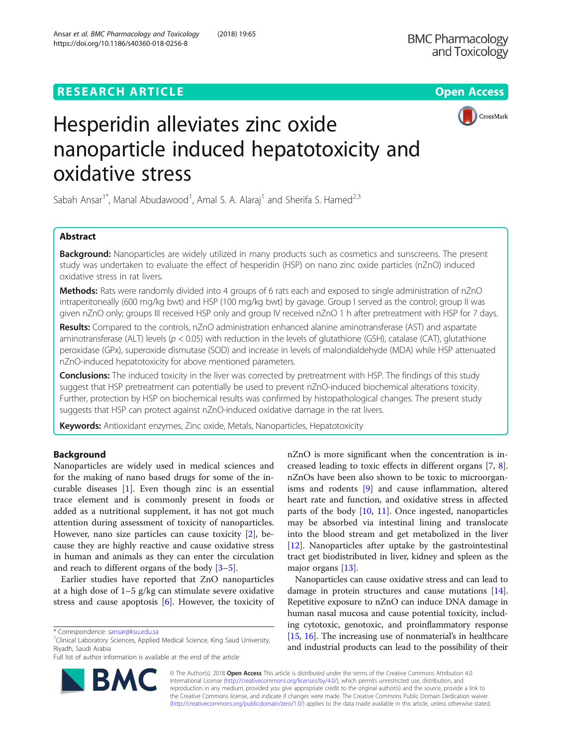## **RESEARCH ARTICLE Example 2018 12:30 THE Open Access**





# Hesperidin alleviates zinc oxide nanoparticle induced hepatotoxicity and oxidative stress

Sabah Ansar<sup>1\*</sup>, Manal Abudawood<sup>1</sup>, Amal S. A. Alaraj<sup>1</sup> and Sherifa S. Hamed<sup>2,3</sup>

## Abstract

Background: Nanoparticles are widely utilized in many products such as cosmetics and sunscreens. The present study was undertaken to evaluate the effect of hesperidin (HSP) on nano zinc oxide particles (nZnO) induced oxidative stress in rat livers.

Methods: Rats were randomly divided into 4 groups of 6 rats each and exposed to single administration of nZnO intraperitoneally (600 mg/kg bwt) and HSP (100 mg/kg bwt) by gavage. Group I served as the control; group II was given nZnO only; groups III received HSP only and group IV received nZnO 1 h after pretreatment with HSP for 7 days.

Results: Compared to the controls, nZnO administration enhanced alanine aminotransferase (AST) and aspartate aminotransferase (ALT) levels ( $p < 0.05$ ) with reduction in the levels of glutathione (GSH), catalase (CAT), glutathione peroxidase (GPx), superoxide dismutase (SOD) and increase in levels of malondialdehyde (MDA) while HSP attenuated nZnO-induced hepatotoxicity for above mentioned parameters.

Conclusions: The induced toxicity in the liver was corrected by pretreatment with HSP. The findings of this study suggest that HSP pretreatment can potentially be used to prevent nZnO-induced biochemical alterations toxicity. Further, protection by HSP on biochemical results was confirmed by histopathological changes. The present study suggests that HSP can protect against nZnO-induced oxidative damage in the rat livers.

Keywords: Antioxidant enzymes, Zinc oxide, Metals, Nanoparticles, Hepatotoxicity

## Background

Nanoparticles are widely used in medical sciences and for the making of nano based drugs for some of the incurable diseases [[1\]](#page-4-0). Even though zinc is an essential trace element and is commonly present in foods or added as a nutritional supplement, it has not got much attention during assessment of toxicity of nanoparticles. However, nano size particles can cause toxicity [\[2\]](#page-4-0), because they are highly reactive and cause oxidative stress in human and animals as they can enter the circulation and reach to different organs of the body [\[3](#page-4-0)–[5\]](#page-4-0).

Earlier studies have reported that ZnO nanoparticles at a high dose of 1–5 g/kg can stimulate severe oxidative stress and cause apoptosis [[6\]](#page-4-0). However, the toxicity of



Nanoparticles can cause oxidative stress and can lead to damage in protein structures and cause mutations [[14](#page-5-0)]. Repetitive exposure to nZnO can induce DNA damage in human nasal mucosa and cause potential toxicity, including cytotoxic, genotoxic, and proinflammatory response [[15](#page-5-0), [16](#page-5-0)]. The increasing use of nonmaterial's in healthcare and industrial products can lead to the possibility of their



© The Author(s). 2018 Open Access This article is distributed under the terms of the Creative Commons Attribution 4.0 International License [\(http://creativecommons.org/licenses/by/4.0/](http://creativecommons.org/licenses/by/4.0/)), which permits unrestricted use, distribution, and reproduction in any medium, provided you give appropriate credit to the original author(s) and the source, provide a link to the Creative Commons license, and indicate if changes were made. The Creative Commons Public Domain Dedication waiver [\(http://creativecommons.org/publicdomain/zero/1.0/](http://creativecommons.org/publicdomain/zero/1.0/)) applies to the data made available in this article, unless otherwise stated.

<sup>\*</sup> Correspondence: [sansar@ksu.edu.sa](mailto:sansar@ksu.edu.sa) <sup>1</sup>

<sup>&</sup>lt;sup>1</sup>Clinical Laboratory Sciences, Applied Medical Science, King Saud University, Riyadh, Saudi Arabia

Full list of author information is available at the end of the article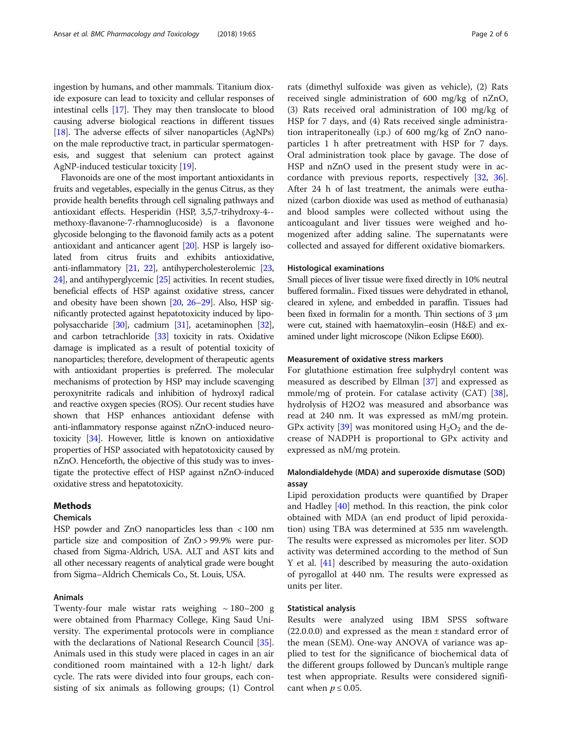ingestion by humans, and other mammals. Titanium dioxide exposure can lead to toxicity and cellular responses of intestinal cells [[17](#page-5-0)]. They may then translocate to blood causing adverse biological reactions in different tissues [[18](#page-5-0)]. The adverse effects of silver nanoparticles (AgNPs) on the male reproductive tract, in particular spermatogenesis, and suggest that selenium can protect against AgNP-induced testicular toxicity [\[19\]](#page-5-0).

Flavonoids are one of the most important antioxidants in fruits and vegetables, especially in the genus Citrus, as they provide health benefits through cell signaling pathways and antioxidant effects. Hesperidin (HSP, 3,5,7-trihydroxy-4- methoxy-flavanone-7-rhamnoglucoside) is a flavonone glycoside belonging to the flavonoid family acts as a potent antioxidant and anticancer agent [\[20\]](#page-5-0). HSP is largely isolated from citrus fruits and exhibits antioxidative, anti-inflammatory [\[21,](#page-5-0) [22](#page-5-0)], antihypercholesterolemic [[23](#page-5-0), [24](#page-5-0)], and antihyperglycemic [[25\]](#page-5-0) activities. In recent studies, beneficial effects of HSP against oxidative stress, cancer and obesity have been shown [[20](#page-5-0), [26](#page-5-0)–[29\]](#page-5-0). Also, HSP significantly protected against hepatotoxicity induced by lipopolysaccharide [[30](#page-5-0)], cadmium [[31](#page-5-0)], acetaminophen [[32](#page-5-0)], and carbon tetrachloride [[33](#page-5-0)] toxicity in rats. Oxidative damage is implicated as a result of potential toxicity of nanoparticles; therefore, development of therapeutic agents with antioxidant properties is preferred. The molecular mechanisms of protection by HSP may include scavenging peroxynitrite radicals and inhibition of hydroxyl radical and reactive oxygen species (ROS). Our recent studies have shown that HSP enhances antioxidant defense with anti-inflammatory response against nZnO-induced neurotoxicity [\[34\]](#page-5-0). However, little is known on antioxidative properties of HSP associated with hepatotoxicity caused by nZnO. Henceforth, the objective of this study was to investigate the protective effect of HSP against nZnO-induced oxidative stress and hepatotoxicity.

## Methods

## Chemicals

HSP powder and ZnO nanoparticles less than < 100 nm particle size and composition of ZnO > 99.9% were purchased from Sigma-Aldrich, USA. ALT and AST kits and all other necessary reagents of analytical grade were bought from Sigma–Aldrich Chemicals Co., St. Louis, USA.

## Animals

Twenty-four male wistar rats weighing  $\sim 180-200$  g were obtained from Pharmacy College, King Saud University. The experimental protocols were in compliance with the declarations of National Research Council [\[35](#page-5-0)]. Animals used in this study were placed in cages in an air conditioned room maintained with a 12-h light/ dark cycle. The rats were divided into four groups, each consisting of six animals as following groups; (1) Control

rats (dimethyl sulfoxide was given as vehicle), (2) Rats received single administration of 600 mg/kg of nZnO, (3) Rats received oral administration of 100 mg/kg of HSP for 7 days, and (4) Rats received single administration intraperitoneally (i.p.) of 600 mg/kg of ZnO nanoparticles 1 h after pretreatment with HSP for 7 days. Oral administration took place by gavage. The dose of HSP and nZnO used in the present study were in accordance with previous reports, respectively [[32](#page-5-0), [36](#page-5-0)]. After 24 h of last treatment, the animals were euthanized (carbon dioxide was used as method of euthanasia) and blood samples were collected without using the anticoagulant and liver tissues were weighed and homogenized after adding saline. The supernatants were collected and assayed for different oxidative biomarkers.

## Histological examinations

Small pieces of liver tissue were fixed directly in 10% neutral buffered formalin.. Fixed tissues were dehydrated in ethanol, cleared in xylene, and embedded in paraffin. Tissues had been fixed in formalin for a month. Thin sections of 3 μm were cut, stained with haematoxylin–eosin (H&E) and examined under light microscope (Nikon Eclipse E600).

## Measurement of oxidative stress markers

For glutathione estimation free sulphydryl content was measured as described by Ellman [\[37](#page-5-0)] and expressed as mmole/mg of protein. For catalase activity (CAT) [\[38](#page-5-0)], hydrolysis of H2O2 was measured and absorbance was read at 240 nm. It was expressed as mM/mg protein. GPx activity [[39\]](#page-5-0) was monitored using  $H_2O_2$  and the decrease of NADPH is proportional to GPx activity and expressed as nM/mg protein.

## Malondialdehyde (MDA) and superoxide dismutase (SOD) assay

Lipid peroxidation products were quantified by Draper and Hadley [\[40\]](#page-5-0) method. In this reaction, the pink color obtained with MDA (an end product of lipid peroxidation) using TBA was determined at 535 nm wavelength. The results were expressed as micromoles per liter. SOD activity was determined according to the method of Sun Y et al. [\[41](#page-5-0)] described by measuring the auto-oxidation of pyrogallol at 440 nm. The results were expressed as units per liter.

## Statistical analysis

Results were analyzed using IBM SPSS software  $(22.0.0.0)$  and expressed as the mean  $\pm$  standard error of the mean (SEM). One-way ANOVA of variance was applied to test for the significance of biochemical data of the different groups followed by Duncan's multiple range test when appropriate. Results were considered significant when  $p \leq 0.05$ .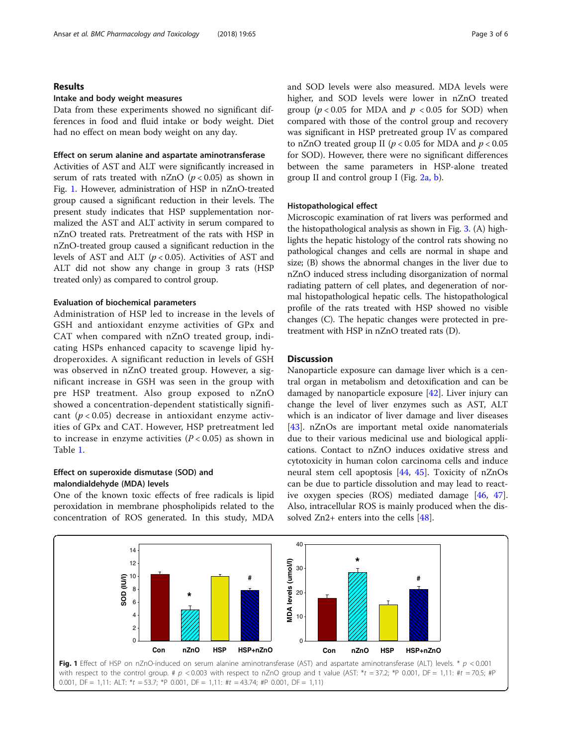## Results

#### Intake and body weight measures

Data from these experiments showed no significant differences in food and fluid intake or body weight. Diet had no effect on mean body weight on any day.

## Effect on serum alanine and aspartate aminotransferase

Activities of AST and ALT were significantly increased in serum of rats treated with nZnO  $(p < 0.05)$  as shown in Fig. 1. However, administration of HSP in nZnO-treated group caused a significant reduction in their levels. The present study indicates that HSP supplementation normalized the AST and ALT activity in serum compared to nZnO treated rats. Pretreatment of the rats with HSP in nZnO-treated group caused a significant reduction in the levels of AST and ALT  $(p < 0.05)$ . Activities of AST and ALT did not show any change in group 3 rats (HSP treated only) as compared to control group.

## Evaluation of biochemical parameters

Administration of HSP led to increase in the levels of GSH and antioxidant enzyme activities of GPx and CAT when compared with nZnO treated group, indicating HSPs enhanced capacity to scavenge lipid hydroperoxides. A significant reduction in levels of GSH was observed in nZnO treated group. However, a significant increase in GSH was seen in the group with pre HSP treatment. Also group exposed to nZnO showed a concentration-dependent statistically significant  $(p < 0.05)$  decrease in antioxidant enzyme activities of GPx and CAT. However, HSP pretreatment led to increase in enzyme activities  $(P < 0.05)$  as shown in Table [1.](#page-4-0)

## Effect on superoxide dismutase (SOD) and malondialdehyde (MDA) levels

One of the known toxic effects of free radicals is lipid peroxidation in membrane phospholipids related to the concentration of ROS generated. In this study, MDA and SOD levels were also measured. MDA levels were higher, and SOD levels were lower in nZnO treated group ( $p < 0.05$  for MDA and  $p < 0.05$  for SOD) when compared with those of the control group and recovery was significant in HSP pretreated group IV as compared to nZnO treated group II ( $p < 0.05$  for MDA and  $p < 0.05$ for SOD). However, there were no significant differences between the same parameters in HSP-alone treated group II and control group I (Fig.  $2a$ , b).

## Histopathological effect

Microscopic examination of rat livers was performed and the histopathological analysis as shown in Fig. [3.](#page-3-0) (A) highlights the hepatic histology of the control rats showing no pathological changes and cells are normal in shape and size; (B) shows the abnormal changes in the liver due to nZnO induced stress including disorganization of normal radiating pattern of cell plates, and degeneration of normal histopathological hepatic cells. The histopathological profile of the rats treated with HSP showed no visible changes (C). The hepatic changes were protected in pretreatment with HSP in nZnO treated rats (D).

## **Discussion**

Nanoparticle exposure can damage liver which is a central organ in metabolism and detoxification and can be damaged by nanoparticle exposure [[42\]](#page-5-0). Liver injury can change the level of liver enzymes such as AST, ALT which is an indicator of liver damage and liver diseases [[43\]](#page-5-0). nZnOs are important metal oxide nanomaterials due to their various medicinal use and biological applications. Contact to nZnO induces oxidative stress and cytotoxicity in human colon carcinoma cells and induce neural stem cell apoptosis [\[44](#page-5-0), [45\]](#page-5-0). Toxicity of nZnOs can be due to particle dissolution and may lead to reactive oxygen species (ROS) mediated damage [[46](#page-5-0), [47](#page-5-0)]. Also, intracellular ROS is mainly produced when the dissolved Zn2+ enters into the cells [\[48\]](#page-5-0).

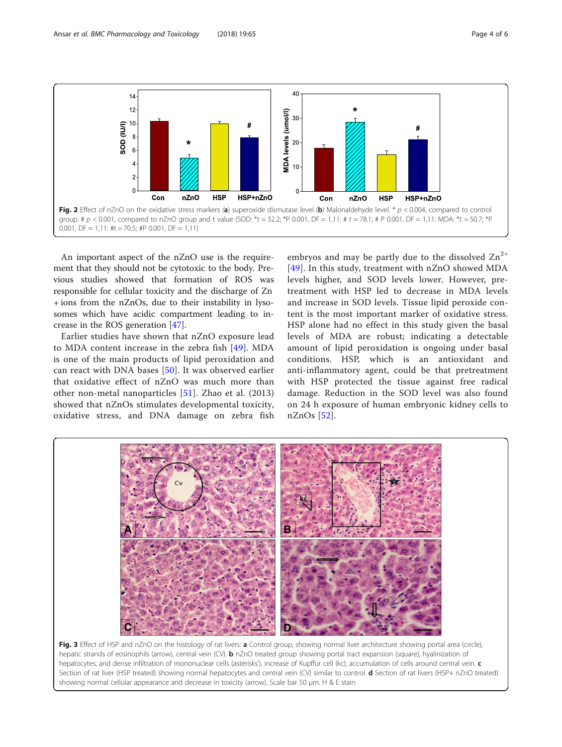<span id="page-3-0"></span>

An important aspect of the nZnO use is the requirement that they should not be cytotoxic to the body. Previous studies showed that formation of ROS was responsible for cellular toxicity and the discharge of Zn + ions from the nZnOs, due to their instability in lysosomes which have acidic compartment leading to increase in the ROS generation [[47](#page-5-0)].

Earlier studies have shown that nZnO exposure lead to MDA content increase in the zebra fish [[49\]](#page-5-0). MDA is one of the main products of lipid peroxidation and can react with DNA bases [[50\]](#page-5-0). It was observed earlier that oxidative effect of nZnO was much more than other non-metal nanoparticles [[51](#page-5-0)]. Zhao et al. (2013) showed that nZnOs stimulates developmental toxicity, oxidative stress, and DNA damage on zebra fish

embryos and may be partly due to the dissolved  $Zn^{2+}$ [[49](#page-5-0)]. In this study, treatment with nZnO showed MDA levels higher, and SOD levels lower. However, pretreatment with HSP led to decrease in MDA levels and increase in SOD levels. Tissue lipid peroxide content is the most important marker of oxidative stress. HSP alone had no effect in this study given the basal levels of MDA are robust; indicating a detectable amount of lipid peroxidation is ongoing under basal conditions. HSP, which is an antioxidant and anti-inflammatory agent, could be that pretreatment with HSP protected the tissue against free radical damage. Reduction in the SOD level was also found on 24 h exposure of human embryonic kidney cells to nZnOs [\[52\]](#page-5-0).



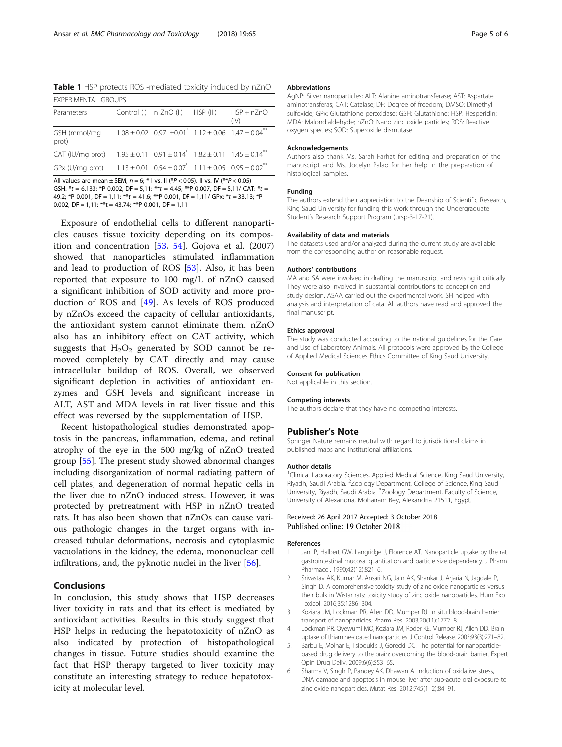<span id="page-4-0"></span>Table 1 HSP protects ROS -mediated toxicity induced by nZnO EXPERIMENTAL GROUPS

| EXPERIMENTAL GROUPS                                                                                         |  |                                  |  |                      |
|-------------------------------------------------------------------------------------------------------------|--|----------------------------------|--|----------------------|
| Parameters                                                                                                  |  | Control (I) n ZnO (II) HSP (III) |  | $HSP + nZnO$<br>(IV) |
| GSH (mmol/mg $1.08 \pm 0.02$ 0.97. $\pm 0.01^*$ 1.12 $\pm$ 0.06 1.47 $\pm$ 0.04 <sup>**</sup><br>prot)      |  |                                  |  |                      |
| CAT (IU/mg prot) $1.95 \pm 0.11$ $0.91 \pm 0.14$ <sup>*</sup> $1.82 \pm 0.11$ $1.45 \pm 0.14$ <sup>**</sup> |  |                                  |  |                      |
| GPx (U/mg prot) $1.13 \pm 0.01$ $0.54 \pm 0.07$ $1.11 \pm 0.05$ $0.95 \pm 0.02$ <sup>**</sup>               |  |                                  |  |                      |

All values are mean  $\pm$  SEM,  $n = 6$ ;  $*$  I vs. II ( $*P < 0.05$ ). II vs. IV ( $*P < 0.05$ )

GSH:  $*t = 6.133$ ;  $*$ P 0.002, DF = 5,11:  $**$ t = 4.45;  $**$ P 0.007, DF = 5,11/ CAT:  $*t =$ 49.2; \*P 0.001, DF = 1,11: \*\* $t = 41.6$ ; \*\*P 0.001, DF = 1,11/ GPx: \* $t = 33.13$ ; \*P 0.002, DF =  $1,11:***$ t = 43.74; \*\*P 0.001, DF =  $1,11$ 

Exposure of endothelial cells to different nanoparticles causes tissue toxicity depending on its composition and concentration  $[53, 54]$  $[53, 54]$  $[53, 54]$  $[53, 54]$ . Gojova et al. (2007) showed that nanoparticles stimulated inflammation and lead to production of ROS [\[53](#page-5-0)]. Also, it has been reported that exposure to 100 mg/L of nZnO caused a significant inhibition of SOD activity and more production of ROS and [\[49](#page-5-0)]. As levels of ROS produced by nZnOs exceed the capacity of cellular antioxidants, the antioxidant system cannot eliminate them. nZnO also has an inhibitory effect on CAT activity, which suggests that  $H_2O_2$  generated by SOD cannot be removed completely by CAT directly and may cause intracellular buildup of ROS. Overall, we observed significant depletion in activities of antioxidant enzymes and GSH levels and significant increase in ALT, AST and MDA levels in rat liver tissue and this effect was reversed by the supplementation of HSP.

Recent histopathological studies demonstrated apoptosis in the pancreas, inflammation, edema, and retinal atrophy of the eye in the 500 mg/kg of nZnO treated group [[55\]](#page-5-0). The present study showed abnormal changes including disorganization of normal radiating pattern of cell plates, and degeneration of normal hepatic cells in the liver due to nZnO induced stress. However, it was protected by pretreatment with HSP in nZnO treated rats. It has also been shown that nZnOs can cause various pathologic changes in the target organs with increased tubular deformations, necrosis and cytoplasmic vacuolations in the kidney, the edema, mononuclear cell infiltrations, and, the pyknotic nuclei in the liver [\[56](#page-5-0)].

## Conclusions

In conclusion, this study shows that HSP decreases liver toxicity in rats and that its effect is mediated by antioxidant activities. Results in this study suggest that HSP helps in reducing the hepatotoxicity of nZnO as also indicated by protection of histopathological changes in tissue. Future studies should examine the fact that HSP therapy targeted to liver toxicity may constitute an interesting strategy to reduce hepatotoxicity at molecular level.

#### Abbreviations

AgNP: Silver nanoparticles; ALT: Alanine aminotransferase; AST: Aspartate aminotransferas; CAT: Catalase; DF: Degree of freedom; DMSO: Dimethyl sulfoxide; GPx: Glutathione peroxidase; GSH: Glutathione; HSP: Hesperidin; MDA: Malondialdehyde; nZnO: Nano zinc oxide particles; ROS: Reactive oxygen species; SOD: Superoxide dismutase

#### Acknowledgements

Authors also thank Ms. Sarah Farhat for editing and preparation of the manuscript and Ms. Jocelyn Palao for her help in the preparation of histological samples.

#### Funding

The authors extend their appreciation to the Deanship of Scientific Research, King Saud University for funding this work through the Undergraduate Student's Research Support Program (ursp-3-17-21).

#### Availability of data and materials

The datasets used and/or analyzed during the current study are available from the corresponding author on reasonable request.

#### Authors' contributions

MA and SA were involved in drafting the manuscript and revising it critically. They were also involved in substantial contributions to conception and study design. ASAA carried out the experimental work. SH helped with analysis and interpretation of data. All authors have read and approved the final manuscript.

#### Ethics approval

The study was conducted according to the national guidelines for the Care and Use of Laboratory Animals. All protocols were approved by the College of Applied Medical Sciences Ethics Committee of King Saud University.

#### Consent for publication

Not applicable in this section.

#### Competing interests

The authors declare that they have no competing interests.

#### Publisher's Note

Springer Nature remains neutral with regard to jurisdictional claims in published maps and institutional affiliations.

#### Author details

<sup>1</sup>Clinical Laboratory Sciences, Applied Medical Science, King Saud University Riyadh, Saudi Arabia. <sup>2</sup>Zoology Department, College of Science, King Saud University, Riyadh, Saudi Arabia. <sup>3</sup>Zoology Department, Faculty of Science, University of Alexandria, Moharram Bey, Alexandria 21511, Egypt.

## Received: 26 April 2017 Accepted: 3 October 2018 Published online: 19 October 2018

#### References

- 1. Jani P, Halbert GW, Langridge J, Florence AT. Nanoparticle uptake by the rat gastrointestinal mucosa: quantitation and particle size dependency. J Pharm Pharmacol. 1990;42(12):821–6.
- 2. Srivastav AK, Kumar M, Ansari NG, Jain AK, Shankar J, Arjaria N, Jagdale P, Singh D. A comprehensive toxicity study of zinc oxide nanoparticles versus their bulk in Wistar rats: toxicity study of zinc oxide nanoparticles. Hum Exp Toxicol. 2016;35:1286–304.
- 3. Koziara JM, Lockman PR, Allen DD, Mumper RJ. In situ blood-brain barrier transport of nanoparticles. Pharm Res. 2003;20(11):1772–8.
- 4. Lockman PR, Oyewumi MO, Koziara JM, Roder KE, Mumper RJ, Allen DD. Brain uptake of thiamine-coated nanoparticles. J Control Release. 2003;93(3):271–82.
- 5. Barbu E, Molnar E, Tsibouklis J, Gorecki DC. The potential for nanoparticlebased drug delivery to the brain: overcoming the blood-brain barrier. Expert Opin Drug Deliv. 2009;6(6):553–65.
- 6. Sharma V, Singh P, Pandey AK, Dhawan A. Induction of oxidative stress, DNA damage and apoptosis in mouse liver after sub-acute oral exposure to zinc oxide nanoparticles. Mutat Res. 2012;745(1–2):84–91.